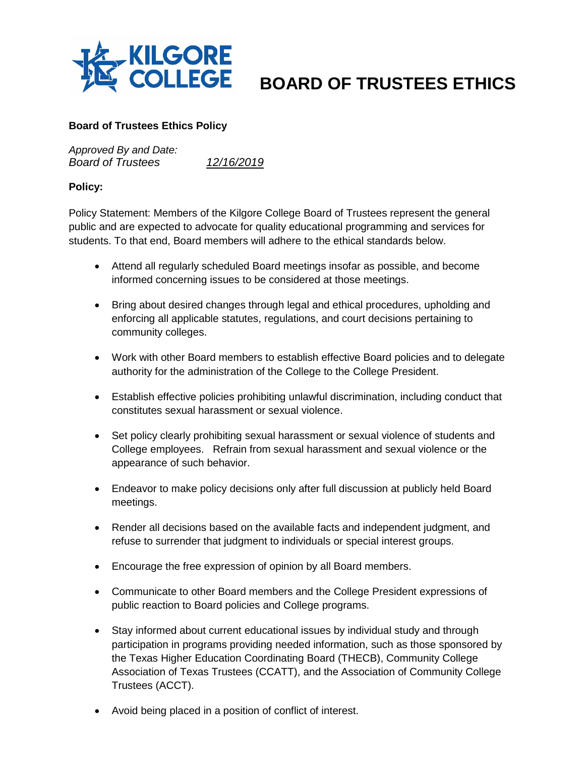

## **BOARD OF TRUSTEES ETHICS**

## **Board of Trustees Ethics Policy**

*Approved By and Date: Board of Trustees 12/16/2019*

## **Policy:**

Policy Statement: Members of the Kilgore College Board of Trustees represent the general public and are expected to advocate for quality educational programming and services for students. To that end, Board members will adhere to the ethical standards below.

- Attend all regularly scheduled Board meetings insofar as possible, and become informed concerning issues to be considered at those meetings.
- Bring about desired changes through legal and ethical procedures, upholding and enforcing all applicable statutes, regulations, and court decisions pertaining to community colleges.
- Work with other Board members to establish effective Board policies and to delegate authority for the administration of the College to the College President.
- Establish effective policies prohibiting unlawful discrimination, including conduct that constitutes sexual harassment or sexual violence.
- Set policy clearly prohibiting sexual harassment or sexual violence of students and College employees. Refrain from sexual harassment and sexual violence or the appearance of such behavior.
- Endeavor to make policy decisions only after full discussion at publicly held Board meetings.
- Render all decisions based on the available facts and independent judgment, and refuse to surrender that judgment to individuals or special interest groups.
- Encourage the free expression of opinion by all Board members.
- Communicate to other Board members and the College President expressions of public reaction to Board policies and College programs.
- Stay informed about current educational issues by individual study and through participation in programs providing needed information, such as those sponsored by the Texas Higher Education Coordinating Board (THECB), Community College Association of Texas Trustees (CCATT), and the Association of Community College Trustees (ACCT).
- Avoid being placed in a position of conflict of interest.